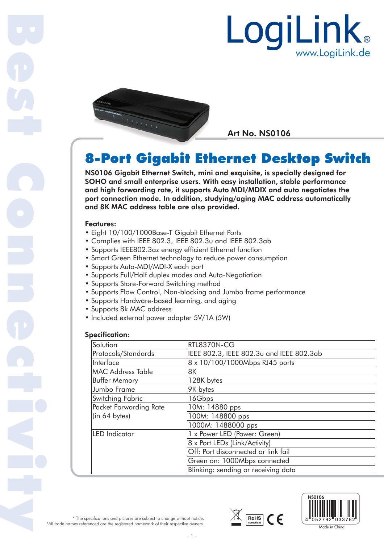



Art No. NS0106

# 8-Port Gigabit Ethernet Desktop Switch Ether

NS0106 Gigabit Ethernet Switch, mini and exquisite, is specially designed for and SOHO and small enterprise users. With easy installation, stable performance and high forwarding rate, it supports Auto MDI/MDIX and auto negotiates the port connection mode. In addition, studying/aging MAC address automatically and 8K MAC address table are also provided.

#### Features:

Best Connectivity

- Eight 10/100/1000Base-T Gigabit Ethernet Ports
- Complies with IEEE 802.3, IEEE 802.3u and IEEE 802.3ab
- Supports IEEE802.3az energy efficient Ethernet function
- Smart Green Ethernet technology to reduce power consumption
- Supports Auto-MDI/MDI-X each port
- Supports Full/Half duplex modes and Auto-Negotiation
- Supports Store-Forward Switching method
- Supports Flow Control, Non-blocking and Jumbo frame performance
- Supports Hardware-based learning, and aging
- Supports 8k MAC address
- Included external power adapter 5V/1A (5W)

## Specification:

| Solution                 | RTL8370N-CG                              |
|--------------------------|------------------------------------------|
| Protocols/Standards      | IEEE 802.3, IEEE 802.3u and IEEE 802.3ab |
| Interface                | 8 x 10/100/1000Mbps RJ45 ports           |
| <b>MAC Address Table</b> | 8K                                       |
| <b>Buffer Memory</b>     | 128K bytes                               |
| Jumbo Frame              | 9K bytes                                 |
| Switching Fabric         | 16Gbps                                   |
| Packet Forwarding Rate   | 10M: 14880 pps                           |
| (in 64 bytes)            | 100M: 148800 pps                         |
|                          | 1000M: 1488000 pps                       |
| <b>LED</b> Indicator     | 1 x Power LED (Power: Green)             |
|                          | 8 x Port LEDs (Link/Activity)            |
|                          | Off: Port disconnected or link fail      |
|                          | Green on: 1000Mbps connected             |
|                          | Blinking: sending or receiving data      |





\* The specifications and pictures are subject to change without notice. \*All trade names referenced are the registered namework of their respective owners.